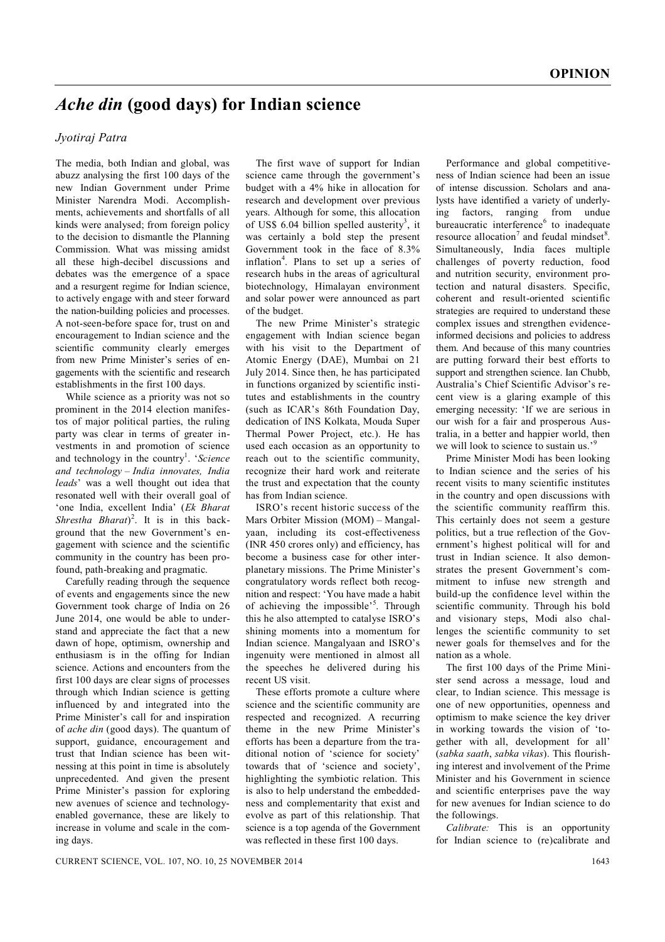## *Ache din* **(good days) for Indian science**

## *Jyotiraj Patra*

The media, both Indian and global, was abuzz analysing the first 100 days of the new Indian Government under Prime Minister Narendra Modi. Accomplishments, achievements and shortfalls of all kinds were analysed; from foreign policy to the decision to dismantle the Planning Commission. What was missing amidst all these high-decibel discussions and debates was the emergence of a space and a resurgent regime for Indian science, to actively engage with and steer forward the nation-building policies and processes. A not-seen-before space for, trust on and encouragement to Indian science and the scientific community clearly emerges from new Prime Minister's series of engagements with the scientific and research establishments in the first 100 days.

While science as a priority was not so prominent in the 2014 election manifestos of major political parties, the ruling party was clear in terms of greater investments in and promotion of science and technology in the country<sup>1</sup>. 'Science' *and technology – India innovates, India leads*' was a well thought out idea that resonated well with their overall goal of 'one India, excellent India' (*Ek Bharat Shrestha Bharat*) 2 . It is in this background that the new Government's engagement with science and the scientific community in the country has been profound, path-breaking and pragmatic.

Carefully reading through the sequence of events and engagements since the new Government took charge of India on 26 June 2014, one would be able to understand and appreciate the fact that a new dawn of hope, optimism, ownership and enthusiasm is in the offing for Indian science. Actions and encounters from the first 100 days are clear signs of processes through which Indian science is getting influenced by and integrated into the Prime Minister's call for and inspiration of *ache din* (good days). The quantum of support, guidance, encouragement and trust that Indian science has been witnessing at this point in time is absolutely unprecedented. And given the present Prime Minister's passion for exploring new avenues of science and technologyenabled governance, these are likely to increase in volume and scale in the coming days.

The first wave of support for Indian science came through the government's budget with a 4% hike in allocation for research and development over previous years. Although for some, this allocation of US\$ 6.04 billion spelled austerity<sup>3</sup>, it was certainly a bold step the present Government took in the face of 8.3% inflation<sup>4</sup>. Plans to set up a series of research hubs in the areas of agricultural biotechnology, Himalayan environment and solar power were announced as part of the budget.

The new Prime Minister's strategic engagement with Indian science began with his visit to the Department of Atomic Energy (DAE), Mumbai on 21 July 2014. Since then, he has participated in functions organized by scientific institutes and establishments in the country (such as ICAR's 86th Foundation Day, dedication of INS Kolkata, Mouda Super Thermal Power Project, etc.). He has used each occasion as an opportunity to reach out to the scientific community, recognize their hard work and reiterate the trust and expectation that the county has from Indian science.

ISRO's recent historic success of the Mars Orbiter Mission (MOM) – Mangalyaan, including its cost-effectiveness (INR 450 crores only) and efficiency, has become a business case for other interplanetary missions. The Prime Minister's congratulatory words reflect both recognition and respect: 'You have made a habit of achieving the impossible'<sup>5</sup>. Through this he also attempted to catalyse ISRO's shining moments into a momentum for Indian science. Mangalyaan and ISRO's ingenuity were mentioned in almost all the speeches he delivered during his recent US visit.

These efforts promote a culture where science and the scientific community are respected and recognized. A recurring theme in the new Prime Minister's efforts has been a departure from the traditional notion of 'science for society' towards that of 'science and society', highlighting the symbiotic relation. This is also to help understand the embeddedness and complementarity that exist and evolve as part of this relationship. That science is a top agenda of the Government was reflected in these first 100 days.

Performance and global competitiveness of Indian science had been an issue of intense discussion. Scholars and analysts have identified a variety of underlying factors, ranging from undue bureaucratic interference<sup>6</sup> to inadequate resource allocation<sup>7</sup> and feudal mindset<sup>8</sup>. Simultaneously, India faces multiple challenges of poverty reduction, food and nutrition security, environment protection and natural disasters. Specific, coherent and result-oriented scientific strategies are required to understand these complex issues and strengthen evidenceinformed decisions and policies to address them. And because of this many countries are putting forward their best efforts to support and strengthen science. Ian Chubb, Australia's Chief Scientific Advisor's recent view is a glaring example of this emerging necessity: 'If we are serious in our wish for a fair and prosperous Australia, in a better and happier world, then we will look to science to sustain us.'<sup>9</sup>

Prime Minister Modi has been looking to Indian science and the series of his recent visits to many scientific institutes in the country and open discussions with the scientific community reaffirm this. This certainly does not seem a gesture politics, but a true reflection of the Government's highest political will for and trust in Indian science. It also demonstrates the present Government's commitment to infuse new strength and build-up the confidence level within the scientific community. Through his bold and visionary steps, Modi also challenges the scientific community to set newer goals for themselves and for the nation as a whole.

The first 100 days of the Prime Minister send across a message, loud and clear, to Indian science. This message is one of new opportunities, openness and optimism to make science the key driver in working towards the vision of 'together with all, development for all' (*sabka saath*, *sabka vikas*). This flourishing interest and involvement of the Prime Minister and his Government in science and scientific enterprises pave the way for new avenues for Indian science to do the followings.

*Calibrate:* This is an opportunity for Indian science to (re)calibrate and